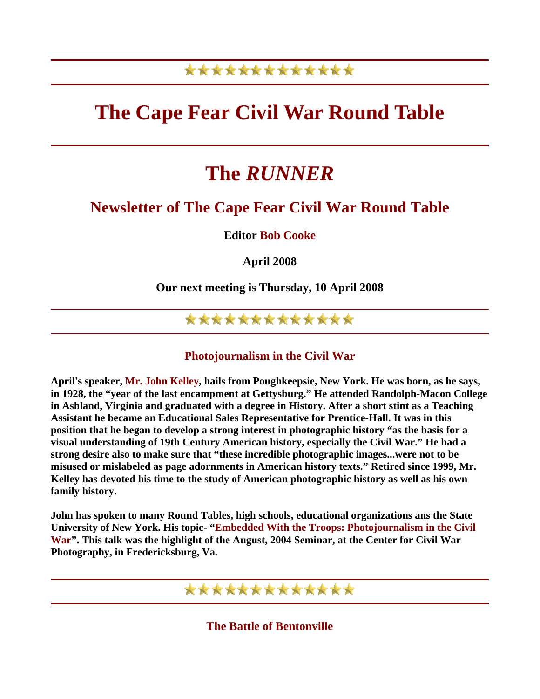## \*\*\*\*\*\*\*\*\*\*\*\*\*

# **The Cape Fear Civil War Round Table**

# **The** *RUNNER*

## **Newsletter of The Cape Fear Civil War Round Table**

**Editor Bob Cooke** 

**April 2008** 

**Our next meeting is Thursday, 10 April 2008** 

## \*\*\*\*\*\*\*\*\*\*\*\*\*

#### **Photojournalism in the Civil War**

**April's speaker, Mr. John Kelley, hails from Poughkeepsie, New York. He was born, as he says, in 1928, the "year of the last encampment at Gettysburg." He attended Randolph-Macon College in Ashland, Virginia and graduated with a degree in History. After a short stint as a Teaching Assistant he became an Educational Sales Representative for Prentice-Hall. It was in this position that he began to develop a strong interest in photographic history "as the basis for a visual understanding of 19th Century American history, especially the Civil War." He had a strong desire also to make sure that "these incredible photographic images...were not to be misused or mislabeled as page adornments in American history texts." Retired since 1999, Mr. Kelley has devoted his time to the study of American photographic history as well as his own family history.** 

**John has spoken to many Round Tables, high schools, educational organizations ans the State University of New York. His topic- "Embedded With the Troops: Photojournalism in the Civil War". This talk was the highlight of the August, 2004 Seminar, at the Center for Civil War Photography, in Fredericksburg, Va.** 

## \*\*\*\*\*\*\*\*\*\*\*\*\*

**The Battle of Bentonville**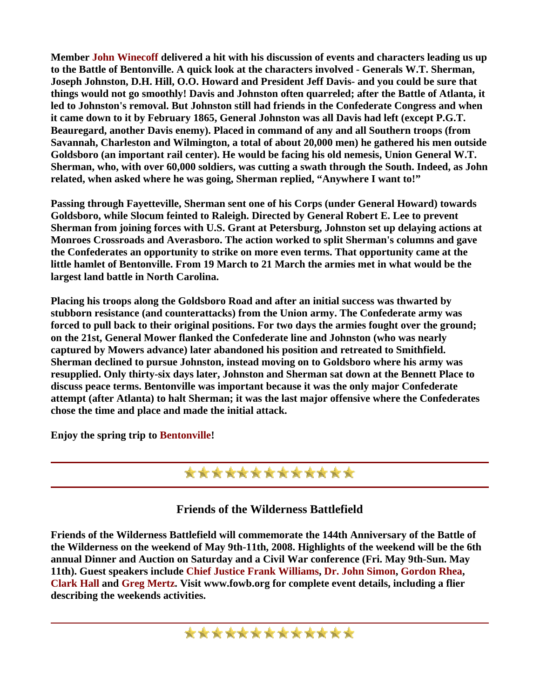**Member John Winecoff delivered a hit with his discussion of events and characters leading us up to the Battle of Bentonville. A quick look at the characters involved - Generals W.T. Sherman, Joseph Johnston, D.H. Hill, O.O. Howard and President Jeff Davis- and you could be sure that things would not go smoothly! Davis and Johnston often quarreled; after the Battle of Atlanta, it led to Johnston's removal. But Johnston still had friends in the Confederate Congress and when it came down to it by February 1865, General Johnston was all Davis had left (except P.G.T. Beauregard, another Davis enemy). Placed in command of any and all Southern troops (from Savannah, Charleston and Wilmington, a total of about 20,000 men) he gathered his men outside Goldsboro (an important rail center). He would be facing his old nemesis, Union General W.T. Sherman, who, with over 60,000 soldiers, was cutting a swath through the South. Indeed, as John related, when asked where he was going, Sherman replied, "Anywhere I want to!"** 

**Passing through Fayetteville, Sherman sent one of his Corps (under General Howard) towards Goldsboro, while Slocum feinted to Raleigh. Directed by General Robert E. Lee to prevent Sherman from joining forces with U.S. Grant at Petersburg, Johnston set up delaying actions at Monroes Crossroads and Averasboro. The action worked to split Sherman's columns and gave the Confederates an opportunity to strike on more even terms. That opportunity came at the little hamlet of Bentonville. From 19 March to 21 March the armies met in what would be the largest land battle in North Carolina.** 

**Placing his troops along the Goldsboro Road and after an initial success was thwarted by stubborn resistance (and counterattacks) from the Union army. The Confederate army was forced to pull back to their original positions. For two days the armies fought over the ground; on the 21st, General Mower flanked the Confederate line and Johnston (who was nearly captured by Mowers advance) later abandoned his position and retreated to Smithfield. Sherman declined to pursue Johnston, instead moving on to Goldsboro where his army was resupplied. Only thirty-six days later, Johnston and Sherman sat down at the Bennett Place to discuss peace terms. Bentonville was important because it was the only major Confederate attempt (after Atlanta) to halt Sherman; it was the last major offensive where the Confederates chose the time and place and made the initial attack.** 

**Enjoy the spring trip to Bentonville!** 

### \*\*\*\*\*\*\*\*\*\*\*\*\*

**Friends of the Wilderness Battlefield** 

**Friends of the Wilderness Battlefield will commemorate the 144th Anniversary of the Battle of the Wilderness on the weekend of May 9th-11th, 2008. Highlights of the weekend will be the 6th annual Dinner and Auction on Saturday and a Civil War conference (Fri. May 9th-Sun. May 11th). Guest speakers include Chief Justice Frank Williams, Dr. John Simon, Gordon Rhea, Clark Hall and Greg Mertz. Visit www.fowb.org for complete event details, including a flier describing the weekends activities.**